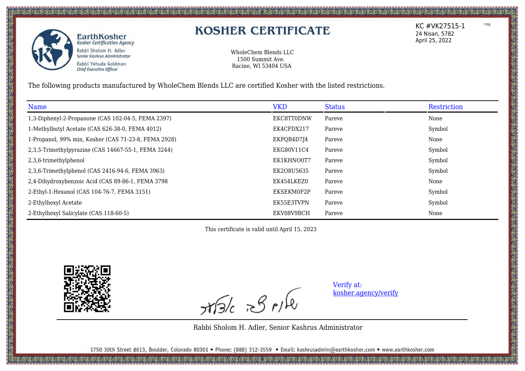

## **KOSHER CERTIFICATE**

WholeChem Blends LLC 1500 Summit Ave. Racine, WI 53404 USA

The following products manufactured by WholeChem Blends LLC are certified Kosher with the listed restrictions.

| Name                                                 | <b>VKD</b>        | <b>Status</b> | Restriction |
|------------------------------------------------------|-------------------|---------------|-------------|
| 1,3-Diphenyl-2-Propanone (CAS 102-04-5, FEMA 2397)   | <b>EKC8TT0DNW</b> | Pareve        | None        |
| 1-Methylbutyl Acetate (CAS 626-38-0, FEMA 4012)      | EK4CFDX217        | Pareve        | Symbol      |
| 1-Propanol, 99% min, Kosher (CAS 71-23-8, FEMA 2928) | EKPQB4D7J4        | Pareve        | None        |
| 2,3,5-Trimethylpyrazine (CAS 14667-55-1, FEMA 3244)  | EKG80V11C4        | Pareve        | Symbol      |
| 2,3,6-trimethylphenol                                | EK1KHNO0T7        | Pareve        | Symbol      |
| 2,3,6-Trimethylphenol (CAS 2416-94-6, FEMA 3963)     | EK208U5635        | Pareve        | Symbol      |
| 2,4-Dihydroxybenzoic Acid (CAS 89-86-1, FEMA 3798    | EK454LKEZ0        | Pareve        | None        |
| 2-Ethyl-1-Hexanol (CAS 104-76-7, FEMA 3151)          | EKSEKM0F2P        | Pareve        | Symbol      |
| 2-Ethylhexyl Acetate                                 | EK55E3TVPN        | Pareve        | Symbol      |
| 2-Ethylhexyl Salicylate (CAS 118-60-5)               | EKV08V9BCH        | Pareve        | None        |

This certificate is valid until April 15, 2023



 $x\sqrt{3}/c$   $x\sqrt{2}/\sqrt{2}$ 

Verify at: [kosher.agency/verify](https://kosher.agency/verify)

Rabbi Sholom H. Adler, Senior Kashrus Administrator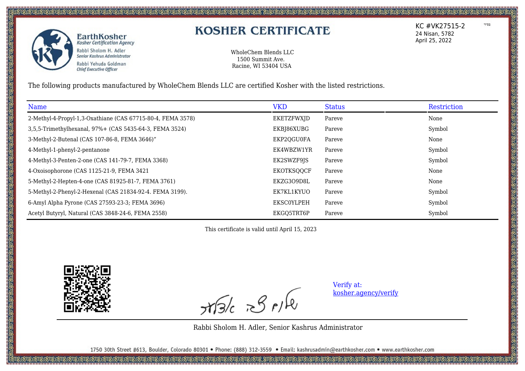

ි මිනිසි මිනිසි මිනිසි මිනිසි මිනිසි මිනිසි මිනිසි මිනිසි මිනිසි මිනිසි මිනිසි මිනිසි මිනිසි මිනිසි මිනිසි මින<br>මිනිසි මිනිසි මිනිසි මිනිසි මිනිසි මිනිසි මිනිසි මිනිසි මිනිසි මිනිසි මිනිසි මිනිසි මිනිසි මිනිසි මිනිසි මි

# **KOSHER CERTIFICATE**

WholeChem Blends LLC 1500 Summit Ave. Racine, WI 53404 USA

The following products manufactured by WholeChem Blends LLC are certified Kosher with the listed restrictions.

| Name                                                        | <b>VKD</b>        | <b>Status</b> | Restriction |
|-------------------------------------------------------------|-------------------|---------------|-------------|
| 2-Methyl-4-Propyl-1,3-Oxathiane (CAS 67715-80-4, FEMA 3578) | EKETZFWXJD        | Pareve        | None        |
| 3,5,5-Trimethylhexanal, 97%+ (CAS 5435-64-3, FEMA 3524)     | EKBJ86XUBG        | Pareve        | Symbol      |
| 3-Methyl-2-Butenal (CAS 107-86-8, FEMA 3646)"               | EKP2QGU0FA        | Pareve        | None        |
| 4-Methyl-1-phenyl-2-pentanone                               | EK4WBZW1YR        | Pareve        | Symbol      |
| 4-Methyl-3-Penten-2-one (CAS 141-79-7, FEMA 3368)           | EK2SWZF9JS        | Pareve        | Symbol      |
| 4-Oxoisophorone (CAS 1125-21-9, FEMA 3421                   | EKOTKSQQCF        | Pareve        | None        |
| 5-Methyl-2-Hepten-4-one (CAS 81925-81-7, FEMA 3761)         | EKZG3O9D8L        | Pareve        | None        |
| 5-Methyl-2-Phenyl-2-Hexenal (CAS 21834-92-4. FEMA 3199).    | EK7KL1KYUO        | Pareve        | Symbol      |
| 6-Amyl Alpha Pyrone (CAS 27593-23-3; FEMA 3696)             | <b>EKSCOYLPEH</b> | Pareve        | Symbol      |
| Acetyl Butyryl, Natural (CAS 3848-24-6, FEMA 2558)          | EKGO5TRT6P        | Pareve        | Symbol      |

This certificate is valid until April 15, 2023



 $x$ 

Verify at: [kosher.agency/verify](https://kosher.agency/verify)

Rabbi Sholom H. Adler, Senior Kashrus Administrator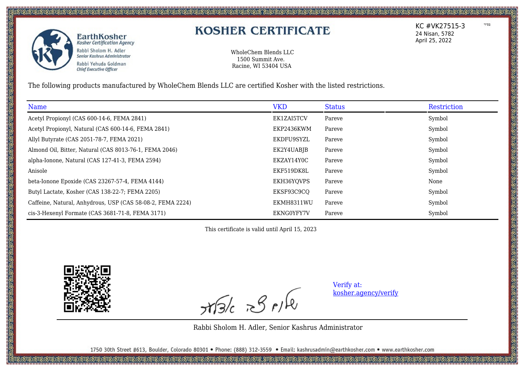

## **KOSHER CERTIFICATE**

WholeChem Blends LLC 1500 Summit Ave. Racine, WI 53404 USA

The following products manufactured by WholeChem Blends LLC are certified Kosher with the listed restrictions.

| Name                                                       | <b>VKD</b> | <b>Status</b> | Restriction |
|------------------------------------------------------------|------------|---------------|-------------|
| Acetyl Propionyl (CAS 600-14-6, FEMA 2841)                 | EK1ZAI5TCV | Pareve        | Symbol      |
| Acetyl Propionyl, Natural (CAS 600-14-6, FEMA 2841)        | EKP2436KWM | Pareve        | Symbol      |
| Allyl Butyrate (CAS 2051-78-7, FEMA 2021)                  | EKDFU9SYZL | Pareve        | Symbol      |
| Almond Oil, Bitter, Natural (CAS 8013-76-1, FEMA 2046)     | EK2Y4UABJB | Pareve        | Symbol      |
| alpha-Ionone, Natural (CAS 127-41-3, FEMA 2594)            | EKZAY14Y0C | Pareve        | Symbol      |
| Anisole                                                    | EKF519DK8L | Pareve        | Symbol      |
| beta-Ionone Epoxide (CAS 23267-57-4, FEMA 4144)            | EKH36YQVPS | Pareve        | None        |
| Butyl Lactate, Kosher (CAS 138-22-7; FEMA 2205)            | EKSF93C9CQ | Pareve        | Symbol      |
| Caffeine, Natural, Anhydrous, USP (CAS 58-08-2, FEMA 2224) | EKMH8311WU | Pareve        | Symbol      |
| cis-3-Hexenyl Formate (CAS 3681-71-8, FEMA 3171)           | EKNG0YFY7V | Pareve        | Symbol      |

This certificate is valid until April 15, 2023



 $x\sqrt{3}/c$   $x\sqrt{2}/\sqrt{2}$ 

Verify at: [kosher.agency/verify](https://kosher.agency/verify)

Rabbi Sholom H. Adler, Senior Kashrus Administrator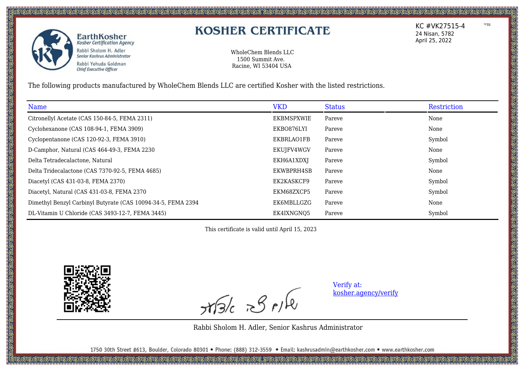

## **KOSHER CERTIFICATE**

WholeChem Blends LLC 1500 Summit Ave. Racine, WI 53404 USA

The following products manufactured by WholeChem Blends LLC are certified Kosher with the listed restrictions.

| Name                                                         | <b>VKD</b> | <b>Status</b> | Restriction |
|--------------------------------------------------------------|------------|---------------|-------------|
| Citronellyl Acetate (CAS 150-84-5, FEMA 2311)                | EKBMSPXWIE | Pareve        | None        |
| Cyclohexanone (CAS 108-94-1, FEMA 3909)                      | EKBO876LYI | Pareve        | None        |
| Cyclopentanone (CAS 120-92-3, FEMA 3910)                     | EKBRLAO1FB | Pareve        | Symbol      |
| D-Camphor, Natural (CAS 464-49-3, FEMA 2230)                 | EKUJFV4WGV | Pareve        | None        |
| Delta Tetradecalactone, Natural                              | EKH6A1XDXJ | Pareve        | Symbol      |
| Delta Tridecalactone (CAS 7370-92-5, FEMA 4685)              | EKWBPRH4SB | Pareve        | None        |
| Diacetyl (CAS 431-03-8, FEMA 2370)                           | EK2KASKCF9 | Pareve        | Symbol      |
| Diacetyl, Natural (CAS 431-03-8, FEMA 2370                   | EKM68ZXCP5 | Pareve        | Symbol      |
| Dimethyl Benzyl Carbinyl Butyrate (CAS 10094-34-5, FEMA 2394 | EK6MBLLGZG | Pareve        | None        |
| DL-Vitamin U Chloride (CAS 3493-12-7, FEMA 3445)             | EK4IXNGNO5 | Pareve        | Symbol      |

This certificate is valid until April 15, 2023



 $x\sqrt{3}/c$   $x\sqrt{2}/\sqrt{2}$ 

Verify at: [kosher.agency/verify](https://kosher.agency/verify)

Rabbi Sholom H. Adler, Senior Kashrus Administrator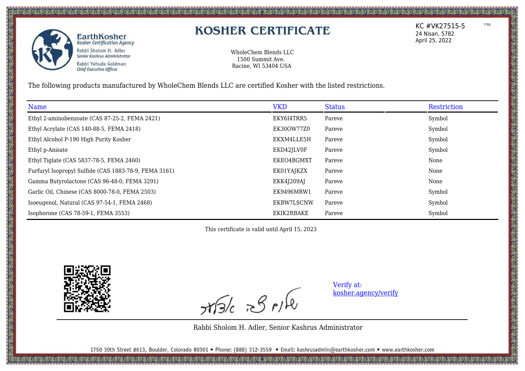

# **KOSHER CERTIFICATE**

WholeChem Blends LLC 1500 Summit Ave. Racine, WI 53404 USA

The following products manufactured by WholeChem Blends LLC are certified Kosher with the listed restrictions.

| Name                                                  | <b>VKD</b> | <b>Status</b> | Restriction |
|-------------------------------------------------------|------------|---------------|-------------|
| Ethyl 2-aminobenzoate (CAS 87-25-2, FEMA 2421)        | EKY6I4TRR5 | Pareve        | Symbol      |
| Ethyl Acrylate (CAS 140-88-5, FEMA 2418)              | EK30OW77Z0 | Pareve        | Symbol      |
| Ethyl Alcohol P-190 High Purity Kosher                | EKXM4LLE5H | Pareve        | Symbol      |
| Ethyl p-Anisate                                       | EKD42JLV0F | Pareve        | Symbol      |
| Ethyl Tiglate (CAS 5837-78-5, FEMA 2460)              | EKEO4BGMXT | Pareve        | None        |
| Furfuryl Isopropyl Sulfide (CAS 1883-78-9, FEMA 3161) | EK01YAJKZX | Pareve        | None        |
| Gamma Butyrolactone (CAS 96-48-0, FEMA 3291)          | EKK4J209AJ | Pareve        | None        |
| Garlic Oil, Chinese (CAS 8000-78-0, FEMA 2503)        | EK9496MRW1 | Pareve        | Symbol      |
| Isoeugenol, Natural (CAS 97-54-1, FEMA 2468)          | EKBW7LSCNW | Pareve        | Symbol      |
| Isophorone (CAS 78-59-1, FEMA 3553)                   | EKIK2RBAKE | Pareve        | Symbol      |

This certificate is valid until April 15, 2023



 $x\sqrt{3}/c$   $x\sqrt{2}/\sqrt{2}$ 

Verify at: [kosher.agency/verify](https://kosher.agency/verify)

Rabbi Sholom H. Adler, Senior Kashrus Administrator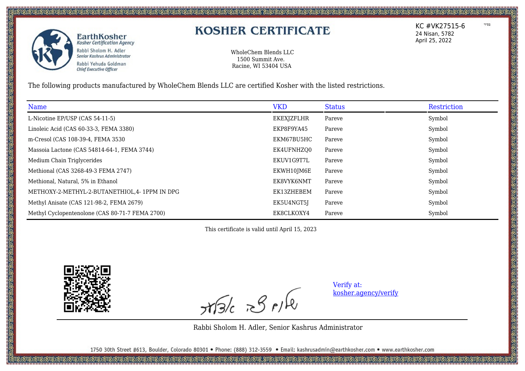

## **KOSHER CERTIFICATE**

WholeChem Blends LLC 1500 Summit Ave. Racine, WI 53404 USA

The following products manufactured by WholeChem Blends LLC are certified Kosher with the listed restrictions.

| Name                                            | <b>VKD</b> | <b>Status</b> | Restriction |
|-------------------------------------------------|------------|---------------|-------------|
| L-Nicotine EP/USP (CAS 54-11-5)                 | EKEXJZFLHR | Pareve        | Symbol      |
| Linoleic Acid (CAS 60-33-3, FEMA 3380)          | EKP8F9YA45 | Pareve        | Symbol      |
| m-Cresol (CAS 108-39-4, FEMA 3530               | EKM67BU5HC | Pareve        | Symbol      |
| Massoia Lactone (CAS 54814-64-1, FEMA 3744)     | EK4UFNHZQ0 | Pareve        | Symbol      |
| Medium Chain Triglycerides                      | EKUV1G9T7L | Pareve        | Symbol      |
| Methional (CAS 3268-49-3 FEMA 2747)             | EKWH10JM6E | Pareve        | Symbol      |
| Methional, Natural, 5% in Ethanol               | EK8VYK6NMT | Pareve        | Symbol      |
| METHOXY-2-METHYL-2-BUTANETHIOL, 4- 1PPM IN DPG  | EK13ZHEBEM | Pareve        | Symbol      |
| Methyl Anisate (CAS 121-98-2, FEMA 2679)        | EK5U4NGT5J | Pareve        | Symbol      |
| Methyl Cyclopentenolone (CAS 80-71-7 FEMA 2700) | EK8CLKOXY4 | Pareve        | Symbol      |

This certificate is valid until April 15, 2023



 $x$ 

Verify at: [kosher.agency/verify](https://kosher.agency/verify)

Rabbi Sholom H. Adler, Senior Kashrus Administrator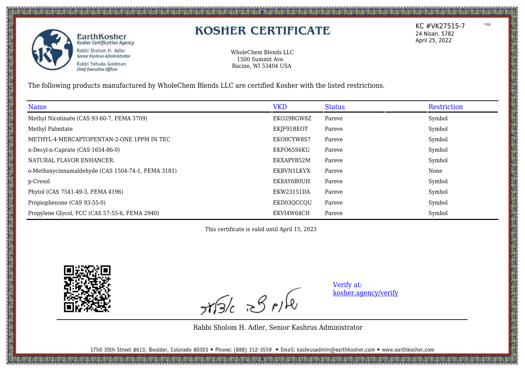

## **KOSHER CERTIFICATE**

WholeChem Blends LLC 1500 Summit Ave. Racine, WI 53404 USA

The following products manufactured by WholeChem Blends LLC are certified Kosher with the listed restrictions.

| Name                                               | <b>VKD</b> | <b>Status</b> | Restriction |
|----------------------------------------------------|------------|---------------|-------------|
| Methyl Nicotinate (CAS 93-60-7, FEMA 3709)         | EKO29RGW8Z | Pareve        | Symbol      |
| Methyl Palmitate                                   | EKJF91BEOT | Pareve        | Symbol      |
| METHYL-4-MERCAPTOPENTAN-2-ONE 1PPM IN TEC          | EKO0CYW8S7 | Pareve        | Symbol      |
| n-Decyl-n-Caprate (CAS 1654-86-0)                  | EKFO65S6KU | Pareve        | Symbol      |
| NATURAL FLAVOR ENHANCER.                           | EKXAPYB52M | Pareve        | Symbol      |
| o-Methoxycinnamaldehyde (CAS 1504-74-1, FEMA 3181) | EKBVN1LKVX | Pareve        | None        |
| p-Cresol                                           | EK8AY6B0UH | Pareve        | Symbol      |
| Phytol (CAS 7541-49-3, FEMA 4196)                  | EKW23151DA | Pareve        | Symbol      |
| Propiophenone (CAS 93-55-0)                        | EKD03QCCQU | Pareve        | Symbol      |
| Propylene Glycol, FCC (CAS 57-55-6, FEMA 2940)     | EKVI4W64CH | Pareve        | Symbol      |

This certificate is valid until April 15, 2023



 $x\sqrt{3}/c$   $x\sqrt{2}/\sqrt{2}$ 

Verify at: [kosher.agency/verify](https://kosher.agency/verify)

Rabbi Sholom H. Adler, Senior Kashrus Administrator